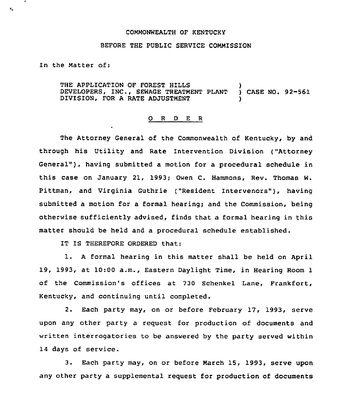## COMMONWEALTH OF KENTUCKY

## BEFORE THE PUBLIC SERVICE COMMISSION

In the Matter of:

 $\bullet_{\rm sc}$ 

THE APPLICATION OF FOREST HILLS (2008)<br>DEVELOPERS, INC., SEWAGE TREATMENT PLANT (2) CASE NO. 92-561 DEVELOPERS, INC., SEWAGE TREATMENT PLANT DIVISION, FOR A RATE ADJUSTMENT

## 0 <sup>R</sup> <sup>D</sup> <sup>E</sup> <sup>R</sup>

The Attorney General of the Commonwealth of Kentucky, by and through his Utility and Rate Intervention Division ("Attorney General" ), having submitted <sup>a</sup> motion for <sup>a</sup> procedural schedule in this case on January 21, 1993; Owen C. Hammons, Rev. Thomas W. Pittman, and Virginia Guthrie ("Resident Intervenors"), having submitted a motion for a formal hearing; and the Commission, being otherwise sufficiently advised, finds that a formal hearing in this matter should be held and a procedural schedule established.

IT IS THEREFORE ORDERED that:

l. <sup>A</sup> formal hearing in this matter shall be held on April 19, 1993, at 10:00 a.m., Eastern Daylight Time, in Hearing Room 1 of the Commission's offices at 730 Schenkel Lane, Frankfort, Kentucky, and continuing until completed.

2. Each party may, on or before February 17, 1993, serve upon any other party a request for production of documents and written interrogatories to be answered by the party served within 14 days of service.

3. Each party may, on or before March 15, 1993, serve upon any other party a supplemental request for production of documents